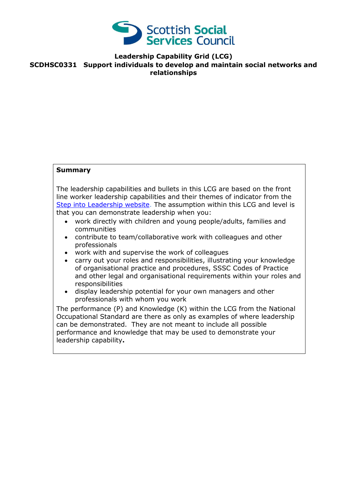

## **Leadership Capability Grid (LCG) SCDHSC0331 Support individuals to develop and maintain social networks and relationships**

## **Summary**

The leadership capabilities and bullets in this LCG are based on the front line worker leadership capabilities and their themes of indicator from the [Step into Leadership website.](http://www.stepintoleadership.info/) The assumption within this LCG and level is that you can demonstrate leadership when you:

- work directly with children and young people/adults, families and communities
- contribute to team/collaborative work with colleagues and other professionals
- work with and supervise the work of colleagues
- carry out your roles and responsibilities, illustrating your knowledge of organisational practice and procedures, SSSC Codes of Practice and other legal and organisational requirements within your roles and responsibilities
- display leadership potential for your own managers and other professionals with whom you work

The performance (P) and Knowledge (K) within the LCG from the National Occupational Standard are there as only as examples of where leadership can be demonstrated. They are not meant to include all possible performance and knowledge that may be used to demonstrate your leadership capability**.**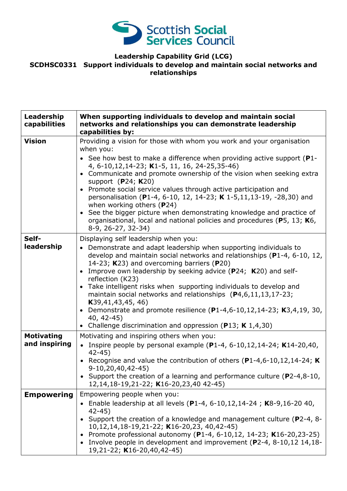

# **Leadership Capability Grid (LCG)**

### **SCDHSC0331 Support individuals to develop and maintain social networks and relationships**

| Leadership<br>capabilities         | When supporting individuals to develop and maintain social<br>networks and relationships you can demonstrate leadership<br>capabilities by:                                                                                                                                                                                                                                                                                                                                                                                                                                                                                                                              |
|------------------------------------|--------------------------------------------------------------------------------------------------------------------------------------------------------------------------------------------------------------------------------------------------------------------------------------------------------------------------------------------------------------------------------------------------------------------------------------------------------------------------------------------------------------------------------------------------------------------------------------------------------------------------------------------------------------------------|
| <b>Vision</b>                      | Providing a vision for those with whom you work and your organisation<br>when you:<br>• See how best to make a difference when providing active support ( $P1$ -<br>4, 6-10, 12, 14-23; K1-5, 11, 16, 24-25, 35-46)<br>• Communicate and promote ownership of the vision when seeking extra<br>support (P24; K20)<br>• Promote social service values through active participation and<br>personalisation (P1-4, 6-10, 12, 14-23; K 1-5, 11, 13-19, -28, 30) and<br>when working others $(P24)$<br>• See the bigger picture when demonstrating knowledge and practice of<br>organisational, local and national policies and procedures (P5, 13; K6,<br>8-9, 26-27, 32-34) |
| Self-<br>leadership                | Displaying self leadership when you:<br>• Demonstrate and adapt leadership when supporting individuals to<br>develop and maintain social networks and relationships (P1-4, 6-10, 12,<br>14-23; K23) and overcoming barriers (P20)<br>Improve own leadership by seeking advice (P24; K20) and self-<br>reflection (K23)<br>• Take intelligent risks when supporting individuals to develop and<br>maintain social networks and relationships $(P4, 6, 11, 13, 17 - 23)$ ;<br>K39,41,43,45,46)<br>Demonstrate and promote resilience $(P1-4, 6-10, 12, 14-23; K3, 4, 19, 30,$<br>40, 42-45)<br>• Challenge discrimination and oppression (P13; K 1,4,30)                   |
| <b>Motivating</b><br>and inspiring | Motivating and inspiring others when you:<br>• Inspire people by personal example (P1-4, 6-10, 12, 14-24; K14-20, 40,<br>$42 - 45$<br>• Recognise and value the contribution of others (P1-4,6-10,12,14-24; K)<br>9-10,20,40,42-45)<br>• Support the creation of a learning and performance culture ( $P2-4,8-10$ ,<br>12,14,18-19,21-22; K16-20,23,40 42-45)                                                                                                                                                                                                                                                                                                            |
| <b>Empowering</b>                  | Empowering people when you:<br>• Enable leadership at all levels (P1-4, 6-10, 12, 14-24; K8-9, 16-20 40,<br>$42 - 45$<br>Support the creation of a knowledge and management culture (P2-4, 8-<br>10,12,14,18-19,21-22; K16-20,23, 40,42-45)<br>• Promote professional autonomy (P1-4, 6-10,12, 14-23; K16-20,23-25)<br>• Involve people in development and improvement (P2-4, 8-10,12 14,18-<br>19,21-22; K16-20,40,42-45)                                                                                                                                                                                                                                               |